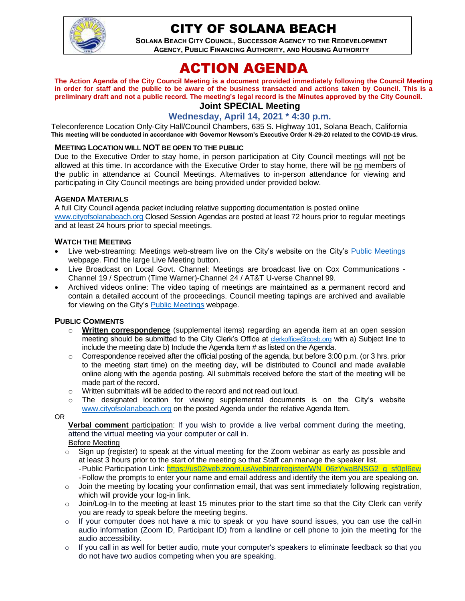

# CITY OF SOLANA BEACH

**SOLANA BEACH CITY COUNCIL, SUCCESSOR AGENCY TO THE REDEVELOPMENT AGENCY, PUBLIC FINANCING AUTHORITY, AND HOUSING AUTHORITY** 

# ACTION AGENDA

**The Action Agenda of the City Council Meeting is a document provided immediately following the Council Meeting in order for staff and the public to be aware of the business transacted and actions taken by Council. This is a preliminary draft and not a public record. The meeting's legal record is the Minutes approved by the City Council.**

## **Joint SPECIAL Meeting**

## **Wednesday, April 14, 2021 \* 4:30 p.m.**

Teleconference Location Only-City Hall/Council Chambers, 635 S. Highway 101, Solana Beach, California **This meeting will be conducted in accordance with Governor Newsom's Executive Order N-29-20 related to the COVID-19 virus.**

#### **MEETING LOCATION WILL NOT BE OPEN TO THE PUBLIC**

Due to the Executive Order to stay home, in person participation at City Council meetings will not be allowed at this time. In accordance with the Executive Order to stay home, there will be no members of the public in attendance at Council Meetings. Alternatives to in-person attendance for viewing and participating in City Council meetings are being provided under provided below.

#### **AGENDA MATERIALS**

A full City Council agenda packet including relative supporting documentation is posted online [www.cityofsolanabeach.org](http://www.cityofsolanabeach.org/) Closed Session Agendas are posted at least 72 hours prior to regular meetings and at least 24 hours prior to special meetings.

#### **WATCH THE MEETING**

- Live web-streaming: Meetings web-stream live on the City's website on the City's [Public Meetings](https://urldefense.proofpoint.com/v2/url?u=https-3A__www.ci.solana-2Dbeach.ca.us_index.asp-3FSEC-3DF0F1200D-2D21C6-2D4A88-2D8AE1-2D0BC07C1A81A7-26Type-3DB-5FBASIC&d=DwMFAg&c=euGZstcaTDllvimEN8b7jXrwqOf-v5A_CdpgnVfiiMM&r=1XAsCUuqwK_tji2t0s1uIQ&m=wny2RVfZJ2tN24LkqZmkUWNpwL_peNtTZUBlTBZiMM4&s=WwpcEQpHHkFen6nS6q2waMuQ_VMZ-i1YZ60lD-dYRRE&e=) webpage. Find the large Live Meeting button.
- Live Broadcast on Local Govt. Channel: Meetings are broadcast live on Cox Communications Channel 19 / Spectrum (Time Warner)-Channel 24 / AT&T U-verse Channel 99.
- Archived videos online: The video taping of meetings are maintained as a permanent record and contain a detailed account of the proceedings. Council meeting tapings are archived and available for viewing on the City's [Public Meetings](https://urldefense.proofpoint.com/v2/url?u=https-3A__www.ci.solana-2Dbeach.ca.us_index.asp-3FSEC-3DF0F1200D-2D21C6-2D4A88-2D8AE1-2D0BC07C1A81A7-26Type-3DB-5FBASIC&d=DwMFAg&c=euGZstcaTDllvimEN8b7jXrwqOf-v5A_CdpgnVfiiMM&r=1XAsCUuqwK_tji2t0s1uIQ&m=wny2RVfZJ2tN24LkqZmkUWNpwL_peNtTZUBlTBZiMM4&s=WwpcEQpHHkFen6nS6q2waMuQ_VMZ-i1YZ60lD-dYRRE&e=) webpage.

## **PUBLIC COMMENTS**

- o **Written correspondence** (supplemental items) regarding an agenda item at an open session meeting should be submitted to the City Clerk's Office at [clerkoffice@cosb.org](mailto:clerkoffice@cosb.org) with a) Subject line to include the meeting date b) Include the Agenda Item # as listed on the Agenda.
- $\circ$  Correspondence received after the official posting of the agenda, but before 3:00 p.m. (or 3 hrs. prior to the meeting start time) on the meeting day, will be distributed to Council and made available online along with the agenda posting. All submittals received before the start of the meeting will be made part of the record.
- o Written submittals will be added to the record and not read out loud.
- $\circ$  The designated location for viewing supplemental documents is on the City's website [www.cityofsolanabeach.org](http://www.cityofsolanabeach.org/) on the posted Agenda under the relative Agenda Item.

OR

**Verbal comment** participation: If you wish to provide a live verbal comment during the meeting, attend the virtual meeting via your computer or call in.

Before Meeting

- $\circ$  Sign up (register) to speak at the virtual meeting for the Zoom webinar as early as possible and at least 3 hours prior to the start of the meeting so that Staff can manage the speaker list. -Public Participation Link: [https://us02web.zoom.us/webinar/register/WN\\_06zYwaBNSG2\\_g\\_sf0pl6ew](https://us02web.zoom.us/webinar/register/WN_06zYwaBNSG2_g_sf0pl6ew) -Follow the prompts to enter your name and email address and identify the item you are speaking on.
- $\circ$  Join the meeting by locating your confirmation email, that was sent immediately following registration, which will provide your log-in link.
- $\circ$  Join/Log-In to the meeting at least 15 minutes prior to the start time so that the City Clerk can verify you are ready to speak before the meeting begins.
- $\circ$  If your computer does not have a mic to speak or you have sound issues, you can use the call-in audio information (Zoom ID, Participant ID) from a landline or cell phone to join the meeting for the audio accessibility.
- $\circ$  If you call in as well for better audio, mute your computer's speakers to eliminate feedback so that you do not have two audios competing when you are speaking.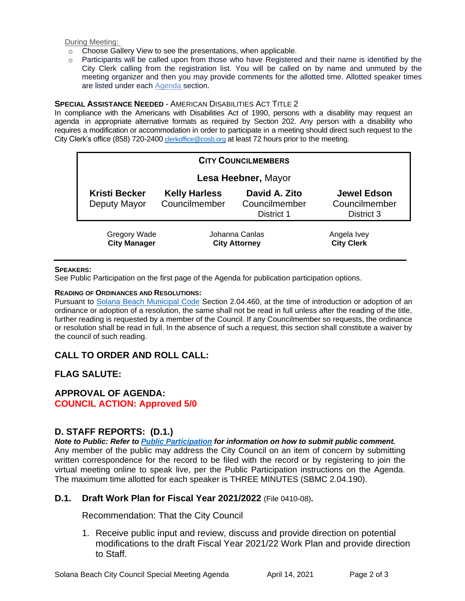During Meeting:

- o Choose Gallery View to see the presentations, when applicable.
- o Participants will be called upon from those who have Registered and their name is identified by the City Clerk calling from the registration list. You will be called on by name and unmuted by the meeting organizer and then you may provide comments for the allotted time. Allotted speaker times are listed under each [Agenda s](https://urldefense.proofpoint.com/v2/url?u=https-3A__www.ci.solana-2Dbeach.ca.us_index.asp-3FSEC-3DF0F1200D-2D21C6-2D4A88-2D8AE1-2D0BC07C1A81A7-26Type-3DB-5FBASIC&d=DwMFaQ&c=euGZstcaTDllvimEN8b7jXrwqOf-v5A_CdpgnVfiiMM&r=1XAsCUuqwK_tji2t0s1uIQ&m=C7WzXfOw2_nkEFMJClT55zZsF4tmIf_7KTn0o1WpYqI&s=3DcsWExM2_nx_xpvFtXslUjphiXd0MDCCF18y_Qy5yU&e=)ection.

#### **SPECIAL ASSISTANCE NEEDED** - AMERICAN DISABILITIES ACT TITLE 2

In compliance with the Americans with Disabilities Act of 1990, persons with a disability may request an agenda in appropriate alternative formats as required by Section 202. Any person with a disability who requires a modification or accommodation in order to participate in a meeting should direct such request to the City Clerk's office (858) 720-2400 [clerkoffice@cosb.org](mailto:EMAILGRP-CityClerksOfc@cosb.org) at least 72 hours prior to the meeting.

| <b>CITY COUNCILMEMBERS</b>                 |                                        |                                              |                                                   |
|--------------------------------------------|----------------------------------------|----------------------------------------------|---------------------------------------------------|
| Lesa Heebner, Mayor                        |                                        |                                              |                                                   |
| <b>Kristi Becker</b><br>Deputy Mayor       | <b>Kelly Harless</b><br>Councilmember  | David A. Zito<br>Councilmember<br>District 1 | <b>Jewel Edson</b><br>Councilmember<br>District 3 |
| <b>Gregory Wade</b><br><b>City Manager</b> | Johanna Canlas<br><b>City Attorney</b> |                                              | Angela Ivey<br><b>City Clerk</b>                  |

#### **SPEAKERS:**

See Public Participation on the first page of the Agenda for publication participation options.

#### **READING OF ORDINANCES AND RESOLUTIONS:**

Pursuant to [Solana Beach Municipal Code](https://www.codepublishing.com/CA/SolanaBeach/) Section 2.04.460, at the time of introduction or adoption of an ordinance or adoption of a resolution, the same shall not be read in full unless after the reading of the title, further reading is requested by a member of the Council. If any Councilmember so requests, the ordinance or resolution shall be read in full. In the absence of such a request, this section shall constitute a waiver by the council of such reading.

## **CALL TO ORDER AND ROLL CALL:**

## **FLAG SALUTE:**

## **APPROVAL OF AGENDA:**

**COUNCIL ACTION: Approved 5/0**

## **D. STAFF REPORTS: (D.1.)**

*Note to Public: Refer to Public Participation for information on how to submit public comment.*  Any member of the public may address the City Council on an item of concern by submitting written correspondence for the record to be filed with the record or by registering to join the virtual meeting online to speak live, per the Public Participation instructions on the Agenda. The maximum time allotted for each speaker is THREE MINUTES (SBMC 2.04.190).

## **D.1. Draft Work Plan for Fiscal Year 2021/2022** (File 0410-08)**.**

Recommendation: That the City Council

1. Receive public input and review, discuss and provide direction on potential modifications to the draft Fiscal Year 2021/22 Work Plan and provide direction to Staff.